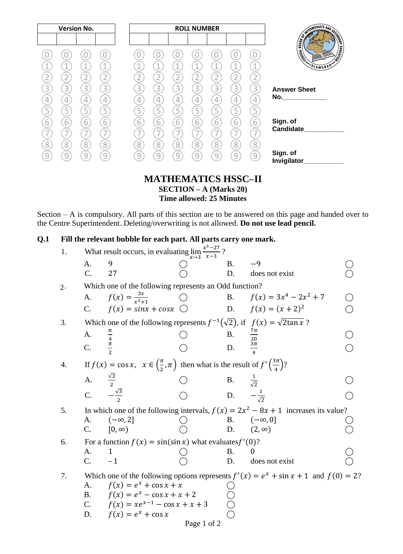| <b>Version No.</b><br><b>ROLL NUMBER</b>                                                                                   |                  |
|----------------------------------------------------------------------------------------------------------------------------|------------------|
|                                                                                                                            |                  |
| <b>CONTROLLER AND RESIDENCE</b><br>1<br>$\mathbf 1$<br>⊣<br>1.<br>$\mathbf{1}$<br>4.<br>VSLAMABAD                          | <b>EDUCATION</b> |
| $\overline{2}$                                                                                                             |                  |
| 3<br>3<br>3<br>3<br>3<br>3<br>3<br>3<br>3<br>3<br>3<br><b>Answer Sheet</b>                                                 |                  |
| No.<br>4<br>4<br>4<br>4<br>4<br>4<br>4<br>4<br>4<br>4<br>4                                                                 |                  |
| 5<br>5<br>5<br>5<br>5<br>5<br>5<br>5<br>$\overline{5}$<br>5<br>5                                                           |                  |
| Sign. of<br>$\overline{6}$<br>6<br>6<br>6<br>6<br>6<br>6<br>6<br>6<br>6<br>6<br>Candidate<br>7<br>$\overline{\phantom{a}}$ |                  |
| $\overline{8}$<br>8<br>8<br>8<br>8<br>8<br>8<br>8<br>8<br>8<br>8                                                           |                  |
| Sign. of<br>9<br>$\mathcal{G}$<br>q<br>q<br>9<br>9<br>q<br>9<br>q<br>q<br>Invigilator                                      |                  |

### **MATHEMATICS HSSC–II SECTION – A (Marks 20) Time allowed: 25 Minutes**

Section – A is compulsory. All parts of this section are to be answered on this page and handed over to the Centre Superintendent. Deleting/overwriting is not allowed. **Do not use lead pencil.**

### **Q.1 Fill the relevant bubble for each part. All parts carry one mark.**

| 1.       | What result occurs, in evaluating $\lim_{x\to 3} \frac{x^3-27}{x-3}$ ?                    |                                                                                                                           |  |                                |                                                                                      |  |  |  |
|----------|-------------------------------------------------------------------------------------------|---------------------------------------------------------------------------------------------------------------------------|--|--------------------------------|--------------------------------------------------------------------------------------|--|--|--|
|          | A.                                                                                        | 9                                                                                                                         |  | Β.                             | $-9$                                                                                 |  |  |  |
|          | C.                                                                                        | 27                                                                                                                        |  | D.                             | does not exist                                                                       |  |  |  |
| $2\cdot$ |                                                                                           | Which one of the following represents an Odd function?                                                                    |  |                                |                                                                                      |  |  |  |
|          | A.                                                                                        | $f(x) = \frac{3x}{x^2+1}$                                                                                                 |  |                                | B. $f(x) = 3x^4 - 2x^2 + 7$                                                          |  |  |  |
|          | C.                                                                                        | $f(x) = \sin x + \cos x$                                                                                                  |  |                                | D. $f(x) = (x + 2)^2$                                                                |  |  |  |
| 3.       |                                                                                           | Which one of the following represents $f^{-1}(\sqrt{2})$ , if $f(x) = \sqrt{2\tan x}$ ?                                   |  |                                |                                                                                      |  |  |  |
|          | A.                                                                                        |                                                                                                                           |  | Β.                             |                                                                                      |  |  |  |
|          | C.                                                                                        |                                                                                                                           |  | D.                             | $\frac{7\pi}{20}$ $\frac{3\pi}{4}$                                                   |  |  |  |
| 4.       |                                                                                           | If $f(x) = \cos x$ , $x \in \left(\frac{\pi}{2}, \pi\right)$ then what is the result of $f'\left(\frac{3\pi}{4}\right)$ ? |  |                                |                                                                                      |  |  |  |
|          | A.                                                                                        | $\frac{\sqrt{3}}{2}$                                                                                                      |  | <b>B.</b> $\frac{1}{\sqrt{2}}$ |                                                                                      |  |  |  |
|          | $\overline{C}$ .                                                                          | $\frac{2}{\sqrt{3}}$                                                                                                      |  | D.                             | $-\frac{1}{\sqrt{2}}$                                                                |  |  |  |
| 5.       |                                                                                           |                                                                                                                           |  |                                | In which one of the following intervals, $f(x) = 2x^2 - 8x + 1$ increases its value? |  |  |  |
|          | А.                                                                                        | $(-\infty, 2]$                                                                                                            |  |                                | B. $(-\infty, 0]$                                                                    |  |  |  |
|          | $\mathbf{C}$ .                                                                            | $[0, \infty)$                                                                                                             |  | D.                             | $(2, \infty)$                                                                        |  |  |  |
| 6.       |                                                                                           | For a function $f(x) = \sin(\sin x)$ what evaluates $f'(0)$ ?                                                             |  |                                |                                                                                      |  |  |  |
|          | A.                                                                                        | 1                                                                                                                         |  | В.                             | 0                                                                                    |  |  |  |
|          | $C_{\cdot}$                                                                               | $-1$                                                                                                                      |  | D.                             | does not exist                                                                       |  |  |  |
| 7.       | Which one of the following options represents $f'(x) = e^x + \sin x + 1$ and $f(0) = 2$ ? |                                                                                                                           |  |                                |                                                                                      |  |  |  |
|          | A.                                                                                        | $f(x) = e^x + \cos x + x$                                                                                                 |  |                                |                                                                                      |  |  |  |
|          | <b>B.</b>                                                                                 | $f(x) = e^x - \cos x + x + 2$                                                                                             |  |                                |                                                                                      |  |  |  |
|          |                                                                                           | C. $f(x) = xe^{x-1} - \cos x + x + 3$                                                                                     |  |                                |                                                                                      |  |  |  |
|          | D.                                                                                        | $f(x) = e^x + \cos x$                                                                                                     |  |                                |                                                                                      |  |  |  |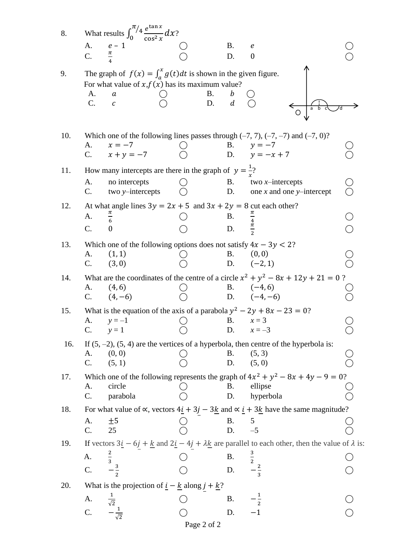| 8.  |                 | What results $\int_0^{\pi/4} \frac{e^{\tan x}}{\cos^2 x} dx$ ?                                                                                                 |                 |                   |                                                                                                                                                                                        |  |
|-----|-----------------|----------------------------------------------------------------------------------------------------------------------------------------------------------------|-----------------|-------------------|----------------------------------------------------------------------------------------------------------------------------------------------------------------------------------------|--|
|     | A.              | $e-1$                                                                                                                                                          |                 | Β.                | $\boldsymbol{e}$                                                                                                                                                                       |  |
|     | C.              | $\frac{\pi}{\pi}$                                                                                                                                              |                 | D.                | $\boldsymbol{0}$                                                                                                                                                                       |  |
| 9.  | A.<br>C.        | The graph of $f(x) = \int_a^x g(t) dt$ is shown in the given figure.<br>For what value of $x, f(x)$ has its maximum value?<br>$\boldsymbol{a}$<br>$\mathcal C$ | <b>B.</b><br>D. | $\overline{d}$    |                                                                                                                                                                                        |  |
| 10. | A.              | $x = -7$                                                                                                                                                       |                 | <b>B.</b>         | Which one of the following lines passes through $(-7, 7)$ , $(-7, -7)$ and $(-7, 0)$ ?<br>$y = -7$                                                                                     |  |
|     | $C_{\cdot}$     | $x + y = -7$                                                                                                                                                   |                 |                   | D. $y = -x + 7$                                                                                                                                                                        |  |
| 11. |                 | How many intercepts are there in the graph of $y = \frac{1}{x}$ ?                                                                                              |                 |                   |                                                                                                                                                                                        |  |
|     | A.              | no intercepts                                                                                                                                                  |                 | Β.                | two $x$ -intercepts                                                                                                                                                                    |  |
|     | C.              | two y-intercepts                                                                                                                                               |                 | D.                | one $x$ and one $y$ -intercept                                                                                                                                                         |  |
| 12. |                 | At what angle lines $3y = 2x + 5$ and $3x + 2y = 8$ cut each other?                                                                                            |                 |                   |                                                                                                                                                                                        |  |
|     | A.              | $\frac{\pi}{6}$                                                                                                                                                |                 | B.                | $\frac{\pi}{4}$ $\frac{4}{\pi}$ $\frac{1}{2}$                                                                                                                                          |  |
|     | C.              | $\theta$                                                                                                                                                       |                 | D.                |                                                                                                                                                                                        |  |
| 13. |                 | Which one of the following options does not satisfy $4x - 3y < 2$ ?                                                                                            |                 |                   |                                                                                                                                                                                        |  |
|     | A.              | (1, 1)                                                                                                                                                         |                 | <b>B.</b>         | (0, 0)                                                                                                                                                                                 |  |
|     | C.              | (3, 0)                                                                                                                                                         |                 |                   | D. $(-2, 1)$                                                                                                                                                                           |  |
| 14. |                 |                                                                                                                                                                |                 |                   | What are the coordinates of the centre of a circle $x^2 + y^2 - 8x + 12y + 21 = 0$ ?                                                                                                   |  |
|     | A.<br>C.        | (4, 6)<br>$(4,-6)$                                                                                                                                             |                 |                   | B. $(-4, 6)$<br>D. $(-4, -6)$                                                                                                                                                          |  |
|     |                 |                                                                                                                                                                |                 |                   |                                                                                                                                                                                        |  |
| 15. | A.              | $y = -1$                                                                                                                                                       |                 | Β.                | What is the equation of the axis of a parabola $y^2 - 2y + 8x - 23 = 0$ ?<br>$x=3$                                                                                                     |  |
|     | C.              | $y=1$                                                                                                                                                          |                 | D.                | $x = -3$                                                                                                                                                                               |  |
| 16. |                 |                                                                                                                                                                |                 |                   | If $(5, -2)$ , $(5, 4)$ are the vertices of a hyperbola, then centre of the hyperbola is:                                                                                              |  |
|     | A.              | (0, 0)                                                                                                                                                         |                 | Β.                | (5, 3)                                                                                                                                                                                 |  |
|     | C.              | (5, 1)                                                                                                                                                         |                 | D.                | (5, 0)                                                                                                                                                                                 |  |
| 17. |                 |                                                                                                                                                                |                 |                   | Which one of the following represents the graph of $4x^2 + y^2 - 8x + 4y - 9 = 0$ ?                                                                                                    |  |
|     | A.              | circle                                                                                                                                                         |                 | <b>B.</b>         | ellipse                                                                                                                                                                                |  |
|     | C.              | parabola                                                                                                                                                       |                 | D.                | hyperbola                                                                                                                                                                              |  |
| 18. |                 |                                                                                                                                                                |                 |                   | For what value of $\propto$ , vectors $4\underline{i} + 3\underline{j} - 3\underline{k}$ and $\propto \underline{i} + 3\underline{k}$ have the same magnitude?                         |  |
|     | A.              | ±5                                                                                                                                                             |                 | B. $5$<br>D. $-5$ |                                                                                                                                                                                        |  |
|     | C.              | 25                                                                                                                                                             |                 |                   |                                                                                                                                                                                        |  |
| 19. |                 |                                                                                                                                                                |                 |                   | If vectors $3\underline{i} - 6\underline{j} + \underline{k}$ and $2\underline{i} - 4\underline{j} + \lambda \underline{k}$ are parallel to each other, then the value of $\lambda$ is: |  |
|     | A.              |                                                                                                                                                                |                 | Β.                | $\frac{3}{2}$ $\frac{2}{3}$                                                                                                                                                            |  |
|     | C.              |                                                                                                                                                                |                 | D.                |                                                                                                                                                                                        |  |
| 20. |                 | What is the projection of $\underline{i} - \underline{k}$ along $j + \underline{k}$ ?                                                                          |                 |                   |                                                                                                                                                                                        |  |
|     | A.              |                                                                                                                                                                |                 | B.                |                                                                                                                                                                                        |  |
|     | $\mathcal{C}$ . | $-\frac{1}{\sqrt{2}}$                                                                                                                                          |                 | D.                | $-1$                                                                                                                                                                                   |  |
|     |                 |                                                                                                                                                                | Page 2 of 2     |                   |                                                                                                                                                                                        |  |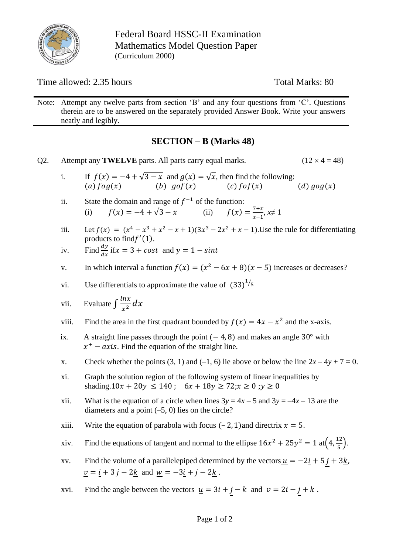

Federal Board HSSC-II Examination Mathematics Model Question Paper (Curriculum 2000)

Time allowed: 2.35 hours Total Marks: 80

Note: Attempt any twelve parts from section 'B' and any four questions from 'C'. Questions therein are to be answered on the separately provided Answer Book. Write your answers neatly and legibly.

# **SECTION – B (Marks 48)**

Q2. Attempt any **TWELVE** parts. All parts carry equal marks.  $(12 \times 4 = 48)$ i. If  $f(x) = -4 + \sqrt{3-x}$  and  $g(x) = \sqrt{x}$ , then find the following:<br>(a)  $f \circ g(x)$  (b)  $g \circ f(x)$  (c)  $f \circ f(x)$ (b)  $gof(x)$  (c)  $fof(x)$  (d)  $gog(x)$ ii. State the domain and range of  $f^{-1}$  of the function: (i)  $f(x) = -4 + \sqrt{3} - x$  (ii)  $f(x) =$  $7+x$  $\frac{x}{x-1}$ ,  $x \neq 1$ iii. Let  $f(x) = (x^4 - x^3 + x^2 - x + 1)(3x^3 - 2x^2 + x - 1)$ . Use the rule for differentiating products to find  $f'(1)$ . iv. Find  $\frac{dy}{dx}$  if  $x = 3 + cost$  and  $y = 1 - sint$ v. In which interval a function  $f(x) = (x^2 - 6x + 8)(x - 5)$  increases or decreases? vi. Use differentials to approximate the value of  $(33)^{1/5}$ vii. Evaluate  $\int \frac{\ln x}{x^2}$  $rac{1}{x^2}dx$ viii. Find the area in the first quadrant bounded by  $f(x) = 4x - x^2$  and the x-axis. ix. A straight line passes through the point  $(-4, 8)$  and makes an angle 30° with  $x^+$  – axis. Find the equation of the straight line. x. Check whether the points (3, 1) and (-1, 6) lie above or below the line  $2x - 4y + 7 = 0$ . xi. Graph the solution region of the following system of linear inequalities by shading.10 $x + 20y \le 140$ ;  $6x + 18y \ge 72$ ;  $x \ge 0$ ;  $y \ge 0$ xii. What is the equation of a circle when lines  $3y = 4x - 5$  and  $3y = -4x - 13$  are the diameters and a point  $(-5, 0)$  lies on the circle? xiii. Write the equation of parabola with focus  $(-2, 1)$  and directrix  $x = 5$ . xiv. Find the equations of tangent and normal to the ellipse  $16x^2 + 25y^2 = 1$  at  $\left(4, \frac{12}{5}\right)$  $\frac{12}{5}$ ). xv. Find the volume of a parallelepiped determined by the vectors  $\underline{u} = -2\underline{i} + 5\underline{j} + 3\underline{k}$ ,  $\underline{v} = \underline{i} + 3 j - 2 \underline{k}$  and  $\underline{w} = -3 \underline{i} + j - 2 \underline{k}$ . xvi. Find the angle between the vectors  $\underline{u} = 3\underline{i} + \underline{j} - \underline{k}$  and  $\underline{v} = 2\underline{i} - \underline{j} + \underline{k}$ .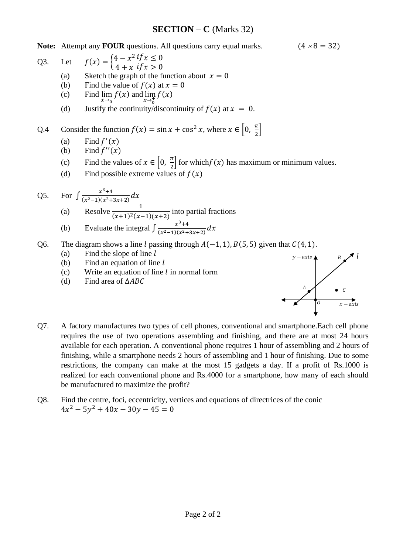### **SECTION – C** (Marks 32)

**Note:** Attempt any **FOUR** questions. All questions carry equal marks.  $(4 \times 8 = 32)$ 

Q3. Let 
$$
f(x) = \begin{cases} 4 - x^2 & \text{if } x \le 0 \\ 4 + x & \text{if } x > 0 \end{cases}
$$

- $4 + x$  if  $x > 0$ (a) Sketch the graph of the function about  $x = 0$
- (b) Find the value of  $f(x)$  at  $x = 0$
- (c) Find  $\lim_{x \to 0} f(x)$  and  $\lim_{x \to 0} f(x)$  $x \rightarrow_0^$  $x \rightarrow_0^+$
- (d) Justify the continuity/discontinuity of  $f(x)$  at  $x = 0$ .

Q.4 Consider the function  $f(x) = \sin x + \cos^2 x$ , where  $x \in \left[0, \frac{\pi}{2}\right]$  $\frac{\pi}{2}$ 

- (a) Find  $f'(x)$
- (b) Find  $f''(x)$
- (c) Find the values of  $x \in \left[0, \frac{\pi}{2}\right]$  $\frac{\pi}{2}$  for which  $f(x)$  has maximum or minimum values.
- (d) Find possible extreme values of  $f(x)$

Q5. For 
$$
\int \frac{x^3+4}{(x^2-1)(x^2+3x+2)} dx
$$
  
(a) Resolve  $\frac{1}{(x+4)^2(x+4)(x+2)}$ 

- $\frac{1}{(x+1)^2(x-1)(x+2)}$  into partial fractions
- (b) Evaluate the integral  $\int \frac{x^3+4}{(x^2-1)(x^2+1)} dx$  $\frac{x+4}{(x^2-1)(x^2+3x+2)}dx$
- Q6. The diagram shows a line l passing through  $A(-1, 1)$ ,  $B(5, 5)$  given that  $C(4, 1)$ .
	- (a) Find the slope of line  $l$
	- (b) Find an equation of line  $l$
	- (c) Write an equation of line  $l$  in normal form
	- (d) Find area of  $\triangle ABC$



- Q7. A factory manufactures two types of cell phones, conventional and smartphone.Each cell phone requires the use of two operations assembling and finishing, and there are at most 24 hours available for each operation. A conventional phone requires 1 hour of assembling and 2 hours of finishing, while a smartphone needs 2 hours of assembling and 1 hour of finishing. Due to some restrictions, the company can make at the most 15 gadgets a day. If a profit of Rs.1000 is realized for each conventional phone and Rs.4000 for a smartphone, how many of each should be manufactured to maximize the profit?
- Q8. Find the centre, foci, eccentricity, vertices and equations of directrices of the conic  $4x^2 - 5y^2 + 40x - 30y - 45 = 0$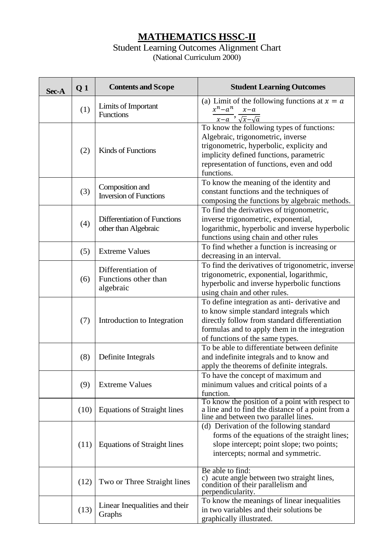# **MATHEMATICS HSSC-II**

### Student Learning Outcomes Alignment Chart (National Curriculum 2000)

| Sec-A            | Q <sub>1</sub>                                              | <b>Contents and Scope</b>                                                                                                                                                   | <b>Student Learning Outcomes</b>                                                                                                                                                                                                 |  |  |  |  |
|------------------|-------------------------------------------------------------|-----------------------------------------------------------------------------------------------------------------------------------------------------------------------------|----------------------------------------------------------------------------------------------------------------------------------------------------------------------------------------------------------------------------------|--|--|--|--|
|                  | (1)                                                         | Limits of Important<br><b>Functions</b>                                                                                                                                     | (a) Limit of the following functions at $x = a$<br>$x^n - a^n$<br>$x-a$<br>$x-a$ , $\sqrt{x}-\sqrt{a}$                                                                                                                           |  |  |  |  |
|                  | (2)                                                         | Kinds of Functions                                                                                                                                                          | To know the following types of functions:<br>Algebraic, trigonometric, inverse<br>trigonometric, hyperbolic, explicity and<br>implicity defined functions, parametric<br>representation of functions, even and odd<br>functions. |  |  |  |  |
|                  | (3)                                                         | Composition and<br><b>Inversion of Functions</b>                                                                                                                            | To know the meaning of the identity and<br>constant functions and the techniques of<br>composing the functions by algebraic methods.                                                                                             |  |  |  |  |
|                  | Differentiation of Functions<br>(4)<br>other than Algebraic |                                                                                                                                                                             | To find the derivatives of trigonometric,<br>inverse trigonometric, exponential,<br>logarithmic, hyperbolic and inverse hyperbolic<br>functions using chain and other rules                                                      |  |  |  |  |
|                  | (5)                                                         | <b>Extreme Values</b>                                                                                                                                                       | To find whether a function is increasing or<br>decreasing in an interval.                                                                                                                                                        |  |  |  |  |
| (6)<br>algebraic |                                                             | Differentiation of<br>Functions other than                                                                                                                                  | To find the derivatives of trigonometric, inverse<br>trigonometric, exponential, logarithmic,<br>hyperbolic and inverse hyperbolic functions<br>using chain and other rules.                                                     |  |  |  |  |
|                  | (7)                                                         | Introduction to Integration                                                                                                                                                 | To define integration as anti-derivative and<br>to know simple standard integrals which<br>directly follow from standard differentiation<br>formulas and to apply them in the integration<br>of functions of the same types.     |  |  |  |  |
|                  | (8)                                                         | Definite Integrals                                                                                                                                                          | To be able to differentiate between definite<br>and indefinite integrals and to know and<br>apply the theorems of definite integrals.                                                                                            |  |  |  |  |
|                  | (9)                                                         | <b>Extreme Values</b>                                                                                                                                                       | To have the concept of maximum and<br>minimum values and critical points of a<br>function.                                                                                                                                       |  |  |  |  |
|                  | (10)                                                        | <b>Equations of Straight lines</b>                                                                                                                                          | To know the position of a point with respect to<br>a line and to find the distance of a point from a<br>line and between two parallel lines.                                                                                     |  |  |  |  |
| (11)             | <b>Equations of Straight lines</b>                          | (d) Derivation of the following standard<br>forms of the equations of the straight lines;<br>slope intercept; point slope; two points;<br>intercepts; normal and symmetric. |                                                                                                                                                                                                                                  |  |  |  |  |
|                  | (12)                                                        | Two or Three Straight lines                                                                                                                                                 | Be able to find:<br>c) acute angle between two straight lines,<br>condition of their parallelism and<br>perpendicularity.                                                                                                        |  |  |  |  |
|                  | Linear Inequalities and their<br>(13)<br>Graphs             |                                                                                                                                                                             | To know the meanings of linear inequalities<br>in two variables and their solutions be<br>graphically illustrated.                                                                                                               |  |  |  |  |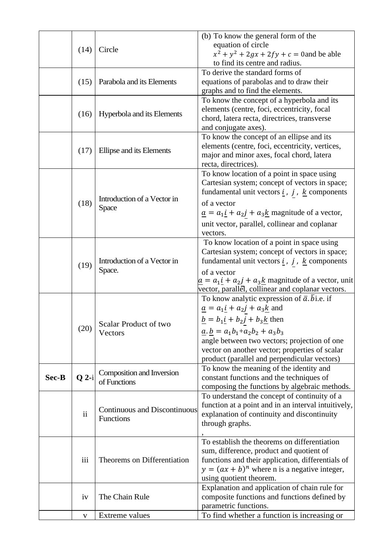|       |                |                                       | (b) To know the general form of the                                                                |  |  |  |
|-------|----------------|---------------------------------------|----------------------------------------------------------------------------------------------------|--|--|--|
|       |                |                                       | equation of circle                                                                                 |  |  |  |
|       | Circle<br>(14) |                                       | $x^{2} + y^{2} + 2gx + 2fy + c = 0$ and be able                                                    |  |  |  |
|       |                |                                       | to find its centre and radius.                                                                     |  |  |  |
|       |                |                                       | To derive the standard forms of                                                                    |  |  |  |
|       | (15)           | Parabola and its Elements             | equations of parabolas and to draw their                                                           |  |  |  |
|       |                |                                       | graphs and to find the elements.                                                                   |  |  |  |
|       |                |                                       | To know the concept of a hyperbola and its                                                         |  |  |  |
|       | (16)           | Hyperbola and its Elements            | elements (centre, foci, eccentricity, focal                                                        |  |  |  |
|       |                |                                       | chord, latera recta, directrices, transverse                                                       |  |  |  |
|       |                |                                       | and conjugate axes).                                                                               |  |  |  |
|       |                |                                       | To know the concept of an ellipse and its                                                          |  |  |  |
|       | (17)           | Ellipse and its Elements              | elements (centre, foci, eccentricity, vertices,                                                    |  |  |  |
|       |                |                                       | major and minor axes, focal chord, latera                                                          |  |  |  |
|       |                |                                       | recta, directrices).                                                                               |  |  |  |
|       |                |                                       | To know location of a point in space using                                                         |  |  |  |
|       |                |                                       | Cartesian system; concept of vectors in space;                                                     |  |  |  |
|       |                | Introduction of a Vector in           | fundamental unit vectors $i$ , $j$ , $k$ components                                                |  |  |  |
|       | (18)           |                                       | of a vector                                                                                        |  |  |  |
|       |                | <b>Space</b>                          | $\underline{a} = a_1 \underline{i} + a_2 \underline{j} + a_3 \underline{k}$ magnitude of a vector, |  |  |  |
|       |                |                                       | unit vector, parallel, collinear and coplanar                                                      |  |  |  |
|       |                |                                       | vectors.                                                                                           |  |  |  |
|       |                |                                       | To know location of a point in space using                                                         |  |  |  |
|       | (19)           | Introduction of a Vector in<br>Space. | Cartesian system; concept of vectors in space;                                                     |  |  |  |
|       |                |                                       | fundamental unit vectors $\underline{i}$ , $j$ , $\underline{k}$ components                        |  |  |  |
|       |                |                                       | of a vector                                                                                        |  |  |  |
|       |                |                                       | $a = a_1 i + a_2 j + a_3 k$ magnitude of a vector, unit                                            |  |  |  |
|       |                |                                       | vector, parallel, collinear and coplanar vectors.                                                  |  |  |  |
|       |                |                                       | To know analytic expression of $\bar{a}$ . bi.e. if                                                |  |  |  |
|       |                | Scalar Product of two<br>Vectors      | $\underline{a} = a_1 \underline{i} + a_2 \underline{j} + a_3 \underline{k}$ and                    |  |  |  |
|       |                |                                       | $\underline{b} = b_1 \underline{i} + b_2 \underline{j} + b_3 \underline{k}$ then                   |  |  |  |
|       | (20)           |                                       |                                                                                                    |  |  |  |
|       |                |                                       | $\underline{a}.\underline{b} = a_1b_1 + a_2b_2 + a_3b_3$                                           |  |  |  |
|       |                |                                       | angle between two vectors; projection of one<br>vector on another vector; properties of scalar     |  |  |  |
|       |                |                                       | product (parallel and perpendicular vectors)                                                       |  |  |  |
|       |                |                                       | To know the meaning of the identity and                                                            |  |  |  |
| Sec-B | $Q$ 2-i        | Composition and Inversion             | constant functions and the techniques of                                                           |  |  |  |
|       |                | of Functions                          | composing the functions by algebraic methods.                                                      |  |  |  |
|       |                |                                       | To understand the concept of continuity of a                                                       |  |  |  |
|       |                |                                       | function at a point and in an interval intuitively,                                                |  |  |  |
|       | $\mathbf{ii}$  | Continuous and Discontinuous          | explanation of continuity and discontinuity                                                        |  |  |  |
|       |                | Functions                             | through graphs.                                                                                    |  |  |  |
|       |                |                                       |                                                                                                    |  |  |  |
|       |                |                                       | To establish the theorems on differentiation                                                       |  |  |  |
|       |                |                                       | sum, difference, product and quotient of                                                           |  |  |  |
|       | iii            | Theorems on Differentiation           | functions and their application, differentials of                                                  |  |  |  |
|       |                |                                       | $y = (ax + b)^n$ where n is a negative integer,                                                    |  |  |  |
|       |                |                                       | using quotient theorem.                                                                            |  |  |  |
|       |                |                                       | Explanation and application of chain rule for                                                      |  |  |  |
|       | iv             | The Chain Rule                        | composite functions and functions defined by                                                       |  |  |  |
|       |                |                                       | parametric functions.                                                                              |  |  |  |
|       | V              | Extreme values                        | To find whether a function is increasing or                                                        |  |  |  |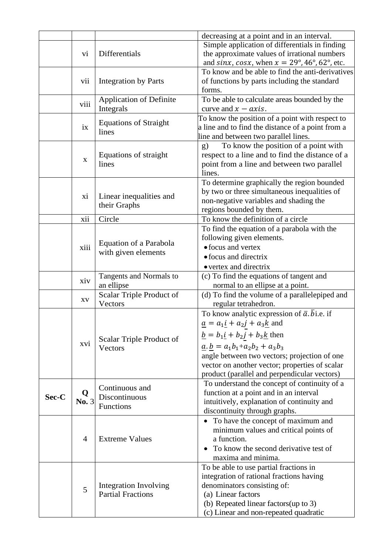|       |                        |                                               | decreasing at a point and in an interval.                                        |  |  |  |  |  |
|-------|------------------------|-----------------------------------------------|----------------------------------------------------------------------------------|--|--|--|--|--|
|       |                        |                                               | Simple application of differentials in finding                                   |  |  |  |  |  |
|       | V <sub>i</sub>         | Differentials                                 | the approximate values of irrational numbers                                     |  |  |  |  |  |
|       |                        |                                               | and sinx, cosx, when $x = 29^{\circ}$ , 46°, 62°, etc.                           |  |  |  |  |  |
|       |                        |                                               | To know and be able to find the anti-derivatives                                 |  |  |  |  |  |
|       | vii                    | <b>Integration by Parts</b>                   | of functions by parts including the standard                                     |  |  |  |  |  |
|       |                        |                                               | forms.                                                                           |  |  |  |  |  |
|       |                        | <b>Application of Definite</b>                | To be able to calculate areas bounded by the                                     |  |  |  |  |  |
|       | viii                   | Integrals                                     | curve and $x - axis$ .                                                           |  |  |  |  |  |
|       |                        |                                               | To know the position of a point with respect to                                  |  |  |  |  |  |
|       | ix                     | <b>Equations of Straight</b><br>lines         | a line and to find the distance of a point from a                                |  |  |  |  |  |
|       |                        |                                               | line and between two parallel lines.                                             |  |  |  |  |  |
|       |                        |                                               | To know the position of a point with<br>(g)                                      |  |  |  |  |  |
|       | $\mathbf X$            | Equations of straight                         | respect to a line and to find the distance of a                                  |  |  |  |  |  |
|       |                        | lines                                         | point from a line and between two parallel                                       |  |  |  |  |  |
|       |                        |                                               | lines.                                                                           |  |  |  |  |  |
|       |                        |                                               | To determine graphically the region bounded                                      |  |  |  |  |  |
|       | X <sub>1</sub>         | Linear inequalities and                       | by two or three simultaneous inequalities of                                     |  |  |  |  |  |
|       |                        | their Graphs                                  | non-negative variables and shading the                                           |  |  |  |  |  |
|       |                        |                                               | regions bounded by them.                                                         |  |  |  |  |  |
|       | xii                    | Circle                                        | To know the definition of a circle                                               |  |  |  |  |  |
|       |                        | Equation of a Parabola<br>with given elements | To find the equation of a parabola with the                                      |  |  |  |  |  |
|       |                        |                                               | following given elements.                                                        |  |  |  |  |  |
|       | xiii                   |                                               | • focus and vertex                                                               |  |  |  |  |  |
|       |                        |                                               | • focus and directrix                                                            |  |  |  |  |  |
|       |                        |                                               | • vertex and directrix                                                           |  |  |  |  |  |
|       | xiv                    | Tangents and Normals to                       | (c) To find the equations of tangent and                                         |  |  |  |  |  |
|       |                        | an ellipse                                    | normal to an ellipse at a point.                                                 |  |  |  |  |  |
|       | $\mathbf{X}\mathbf{V}$ | Scalar Triple Product of                      | (d) To find the volume of a parallelepiped and                                   |  |  |  |  |  |
|       |                        | Vectors                                       | regular tetrahedron.                                                             |  |  |  |  |  |
|       |                        | Scalar Triple Product of<br>Vectors           | To know analytic expression of $\bar{a}$ . $\bar{b}$ i.e. if                     |  |  |  |  |  |
|       |                        |                                               | $\underline{a} = a_1 \underline{i} + a_2 \underline{j} + a_3 \underline{k}$ and  |  |  |  |  |  |
|       |                        |                                               | $\underline{b} = b_1 \underline{i} + b_2 \underline{j} + b_3 \underline{k}$ then |  |  |  |  |  |
|       | XV <sub>i</sub>        |                                               | $\underline{a}.\underline{b} = a_1b_1 + a_2b_2 + a_3b_3$                         |  |  |  |  |  |
|       |                        |                                               | angle between two vectors; projection of one                                     |  |  |  |  |  |
|       |                        |                                               | vector on another vector; properties of scalar                                   |  |  |  |  |  |
|       |                        |                                               | product (parallel and perpendicular vectors)                                     |  |  |  |  |  |
|       |                        | Continuous and                                | To understand the concept of continuity of a                                     |  |  |  |  |  |
| Sec-C | Q                      | Discontinuous<br>Functions                    | function at a point and in an interval                                           |  |  |  |  |  |
|       | No. 3                  |                                               | intuitively, explanation of continuity and                                       |  |  |  |  |  |
|       |                        |                                               | discontinuity through graphs.                                                    |  |  |  |  |  |
|       |                        |                                               | To have the concept of maximum and<br>$\bullet$                                  |  |  |  |  |  |
|       |                        |                                               | minimum values and critical points of                                            |  |  |  |  |  |
|       | 4                      | <b>Extreme Values</b>                         | a function.                                                                      |  |  |  |  |  |
|       |                        |                                               | To know the second derivative test of                                            |  |  |  |  |  |
|       |                        |                                               | maxima and minima.                                                               |  |  |  |  |  |
|       |                        |                                               | To be able to use partial fractions in                                           |  |  |  |  |  |
|       |                        |                                               | integration of rational fractions having                                         |  |  |  |  |  |
|       | 5                      | <b>Integration Involving</b>                  | denominators consisting of:                                                      |  |  |  |  |  |
|       |                        | <b>Partial Fractions</b>                      | (a) Linear factors                                                               |  |  |  |  |  |
|       |                        |                                               | (b) Repeated linear factors (up to 3)                                            |  |  |  |  |  |
|       |                        |                                               | (c) Linear and non-repeated quadratic                                            |  |  |  |  |  |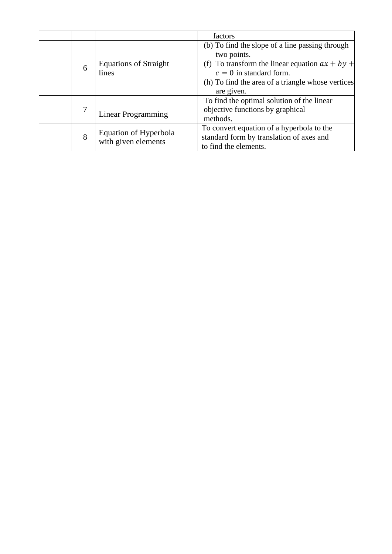|   |                                              | factors                                                                                                                                                                                                            |
|---|----------------------------------------------|--------------------------------------------------------------------------------------------------------------------------------------------------------------------------------------------------------------------|
| 6 | <b>Equations of Straight</b><br>lines        | (b) To find the slope of a line passing through<br>two points.<br>(f) To transform the linear equation $ax + by +$<br>$c = 0$ in standard form.<br>(h) To find the area of a triangle whose vertices<br>are given. |
|   | <b>Linear Programming</b>                    | To find the optimal solution of the linear<br>objective functions by graphical<br>methods.                                                                                                                         |
| 8 | Equation of Hyperbola<br>with given elements | To convert equation of a hyperbola to the<br>standard form by translation of axes and<br>to find the elements.                                                                                                     |